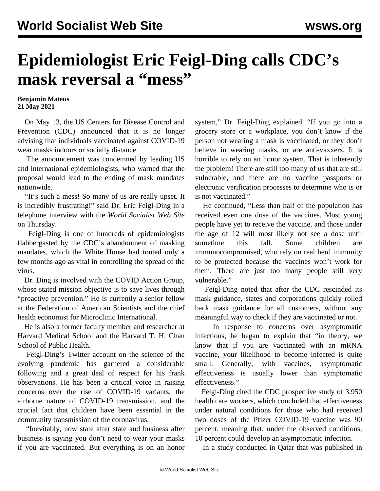## **Epidemiologist Eric Feigl-Ding calls CDC's mask reversal a "mess"**

## **Benjamin Mateus 21 May 2021**

 On May 13, the US Centers for Disease Control and Prevention (CDC) announced that it is no longer advising that individuals vaccinated against COVID-19 wear masks indoors or socially distance.

 The announcement was condemned by leading US and international epidemiologists, who warned that the proposal would lead to the ending of mask mandates nationwide.

 "It's such a mess! So many of us are really upset. It is incredibly frustrating!" said Dr. Eric Feigl-Ding in a telephone interview with the *World Socialist Web Site* on Thursday.

 Feigl-Ding is one of hundreds of epidemiologists flabbergasted by the CDC's abandonment of masking mandates, which the White House had touted only a few months ago as vital in controlling the spread of the virus.

 Dr. Ding is involved with the COVID Action Group, whose stated mission objective is to save lives through "proactive prevention." He is currently a senior fellow at the Federation of American Scientists and the chief health economist for Microclinic International.

 He is also a former faculty member and researcher at Harvard Medical School and the Harvard T. H. Chan School of Public Health.

 Feigl-Ding's Twitter account on the science of the evolving pandemic has garnered a considerable following and a great deal of respect for his frank observations. He has been a critical voice in raising concerns over the rise of COVID-19 variants, the airborne nature of COVID-19 transmission, and the crucial fact that children have been essential in the community transmission of the coronavirus.

 "Inevitably, now state after state and business after business is saying you don't need to wear your masks if you are vaccinated. But everything is on an honor system," Dr. Feigl-Ding explained. "If you go into a grocery store or a workplace, you don't know if the person not wearing a mask is vaccinated, or they don't believe in wearing masks, or are anti-vaxxers. It is horrible to rely on an honor system. That is inherently the problem! There are still too many of us that are still vulnerable, and there are no vaccine passports or electronic verification processes to determine who is or is not vaccinated."

 He continued, "Less than half of the population has received even one dose of the vaccines. Most young people have yet to receive the vaccine, and those under the age of 12 will most likely not see a dose until sometime this fall. Some children are immunocompromised, who rely on real herd immunity to be protected because the vaccines won't work for them. There are just too many people still very vulnerable."

 Feigl-Ding noted that after the CDC rescinded its mask guidance, states and corporations quickly rolled back mask guidance for all customers, without any meaningful way to check if they are vaccinated or not.

 In response to concerns over asymptomatic infections, he began to explain that "in theory, we know that if you are vaccinated with an mRNA vaccine, your likelihood to become infected is quite small. Generally, with vaccines, asymptomatic effectiveness is usually lower than symptomatic effectiveness."

 Feigl-Ding cited the [CDC prospective study](https://www.cdc.gov/mmwr/volumes/70/wr/mm7013e3.htm) of 3,950 health care workers, which concluded that effectiveness under natural conditions for those who had received two doses of the Pfizer COVID-19 vaccine was 90 percent, meaning that, under the observed conditions, 10 percent could develop an asymptomatic infection.

In a study conducted in Qatar that was published in